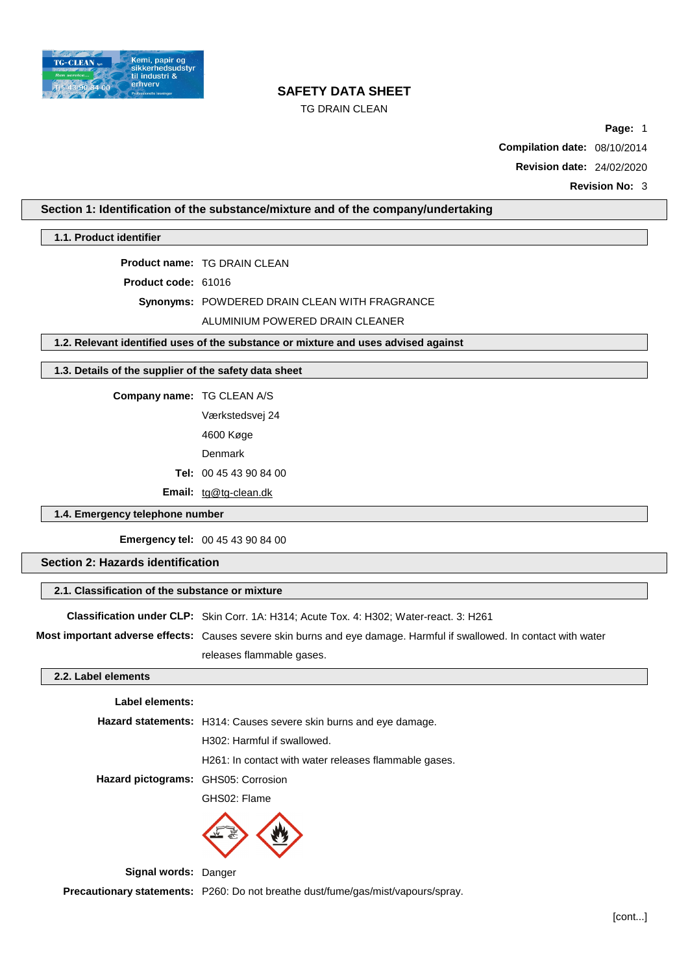

# TG DRAIN CLEAN

**Page:** 1

**Compilation date:** 08/10/2014

**Revision date:** 24/02/2020

## **Section 1: Identification of the substance/mixture and of the company/undertaking**

**1.1. Product identifier**

**Product name:** TG DRAIN CLEAN

**Product code:** 61016

**Synonyms:** POWDERED DRAIN CLEAN WITH FRAGRANCE

ALUMINIUM POWERED DRAIN CLEANER

**1.2. Relevant identified uses of the substance or mixture and uses advised against**

### **1.3. Details of the supplier of the safety data sheet**

**Company name:** TG CLEAN A/S

Værkstedsvej 24

4600 Køge

Denmark

**Tel:** 00 45 43 90 84 00

**Email:** [tg@tg-clean.dk](mailto:tg@tg-clean.dk)

## **1.4. Emergency telephone number**

**Emergency tel:** 00 45 43 90 84 00

# **Section 2: Hazards identification**

## **2.1. Classification of the substance or mixture**

**Classification under CLP:** Skin Corr. 1A: H314; Acute Tox. 4: H302; Water-react. 3: H261

**Most important adverse effects:** Causes severe skin burns and eye damage. Harmful if swallowed. In contact with water releases flammable gases.

# **2.2. Label elements**

### **Label elements:**

|                                     | <b>Hazard statements:</b> H314: Causes severe skin burns and eye damage. |  |  |
|-------------------------------------|--------------------------------------------------------------------------|--|--|
|                                     | H302: Harmful if swallowed.                                              |  |  |
|                                     | H <sub>261</sub> : In contact with water releases flammable gases.       |  |  |
| Hazard pictograms: GHS05: Corrosion |                                                                          |  |  |
|                                     | ------                                                                   |  |  |

GHS02: Flame



**Signal words:** Danger

**Precautionary statements:** P260: Do not breathe dust/fume/gas/mist/vapours/spray.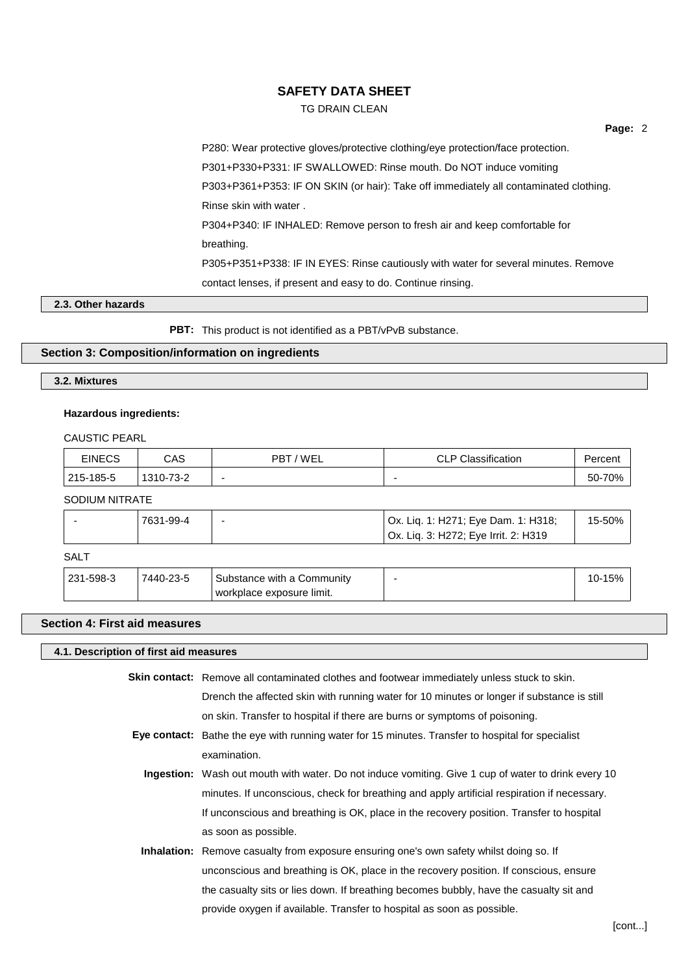# TG DRAIN CLEAN

P280: Wear protective gloves/protective clothing/eye protection/face protection. P301+P330+P331: IF SWALLOWED: Rinse mouth. Do NOT induce vomiting P303+P361+P353: IF ON SKIN (or hair): Take off immediately all contaminated clothing. Rinse skin with water . P304+P340: IF INHALED: Remove person to fresh air and keep comfortable for breathing. P305+P351+P338: IF IN EYES: Rinse cautiously with water for several minutes. Remove contact lenses, if present and easy to do. Continue rinsing.

## **2.3. Other hazards**

**PBT:** This product is not identified as a PBT/vPvB substance.

## **Section 3: Composition/information on ingredients**

## **3.2. Mixtures**

## **Hazardous ingredients:**

CAUSTIC PEARL

| EINECS    | CAS       | 'WEL<br>PBT | <b>CLP Classification</b> | Percent    |
|-----------|-----------|-------------|---------------------------|------------|
| 215-185-5 | 1310-73-2 | -           |                           | 70%<br>50- |

SODIUM NITRATE

| Ox. Liq. 1: H271; Eye Dam. 1: H318;<br>15-50%<br>7631-99-4<br>  Ox. Liq. 3: H272; Eye Irrit. 2: H319 |
|------------------------------------------------------------------------------------------------------|
|------------------------------------------------------------------------------------------------------|

# SALT

| 231-598-3<br>7440-23-5<br>Substance with a Community<br>workplace exposure limit. |  | 15% |  |
|-----------------------------------------------------------------------------------|--|-----|--|
|-----------------------------------------------------------------------------------|--|-----|--|

### **Section 4: First aid measures**

| 4.1. Description of first aid measures |                                                                                                     |  |  |
|----------------------------------------|-----------------------------------------------------------------------------------------------------|--|--|
|                                        | <b>Skin contact:</b> Remove all contaminated clothes and footwear immediately unless stuck to skin. |  |  |
|                                        | Drench the affected skin with running water for 10 minutes or longer if substance is still          |  |  |
|                                        | on skin. Transfer to hospital if there are burns or symptoms of poisoning.                          |  |  |
|                                        | Eye contact: Bathe the eye with running water for 15 minutes. Transfer to hospital for specialist   |  |  |
|                                        | examination.                                                                                        |  |  |
|                                        | Ingestion: Wash out mouth with water. Do not induce vomiting. Give 1 cup of water to drink every 10 |  |  |
|                                        | minutes. If unconscious, check for breathing and apply artificial respiration if necessary.         |  |  |
|                                        | If unconscious and breathing is OK, place in the recovery position. Transfer to hospital            |  |  |
|                                        | as soon as possible.                                                                                |  |  |
|                                        | Inhalation: Remove casualty from exposure ensuring one's own safety whilst doing so. If             |  |  |
|                                        | unconscious and breathing is OK, place in the recovery position. If conscious, ensure               |  |  |
|                                        | the casualty sits or lies down. If breathing becomes bubbly, have the casualty sit and              |  |  |
|                                        | provide oxygen if available. Transfer to hospital as soon as possible.                              |  |  |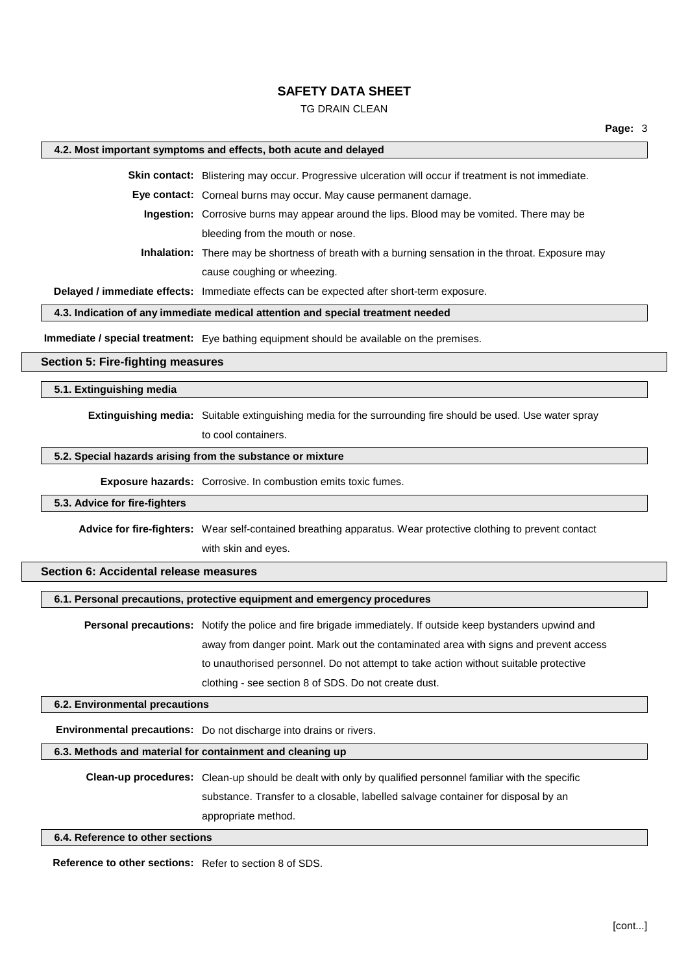### TG DRAIN CLEAN

### **4.2. Most important symptoms and effects, both acute and delayed**

**Skin contact:** Blistering may occur. Progressive ulceration will occur if treatment is not immediate.

**Eye contact:** Corneal burns may occur. May cause permanent damage.

**Ingestion:** Corrosive burns may appear around the lips. Blood may be vomited. There may be bleeding from the mouth or nose.

**Inhalation:** There may be shortness of breath with a burning sensation in the throat. Exposure may cause coughing or wheezing.

**Delayed / immediate effects:** Immediate effects can be expected after short-term exposure.

# **4.3. Indication of any immediate medical attention and special treatment needed**

**Immediate / special treatment:** Eye bathing equipment should be available on the premises.

# **Section 5: Fire-fighting measures**

## **5.1. Extinguishing media**

**Extinguishing media:** Suitable extinguishing media for the surrounding fire should be used. Use water spray

to cool containers.

## **5.2. Special hazards arising from the substance or mixture**

**Exposure hazards:** Corrosive. In combustion emits toxic fumes.

### **5.3. Advice for fire-fighters**

**Advice for fire-fighters:** Wear self-contained breathing apparatus. Wear protective clothing to prevent contact

with skin and eyes.

# **Section 6: Accidental release measures**

#### **6.1. Personal precautions, protective equipment and emergency procedures**

**Personal precautions:** Notify the police and fire brigade immediately. If outside keep bystanders upwind and away from danger point. Mark out the contaminated area with signs and prevent access to unauthorised personnel. Do not attempt to take action without suitable protective clothing - see section 8 of SDS. Do not create dust.

## **6.2. Environmental precautions**

**Environmental precautions:** Do not discharge into drains or rivers.

### **6.3. Methods and material for containment and cleaning up**

**Clean-up procedures:** Clean-up should be dealt with only by qualified personnel familiar with the specific substance. Transfer to a closable, labelled salvage container for disposal by an appropriate method.

#### **6.4. Reference to other sections**

**Reference to other sections:** Refer to section 8 of SDS.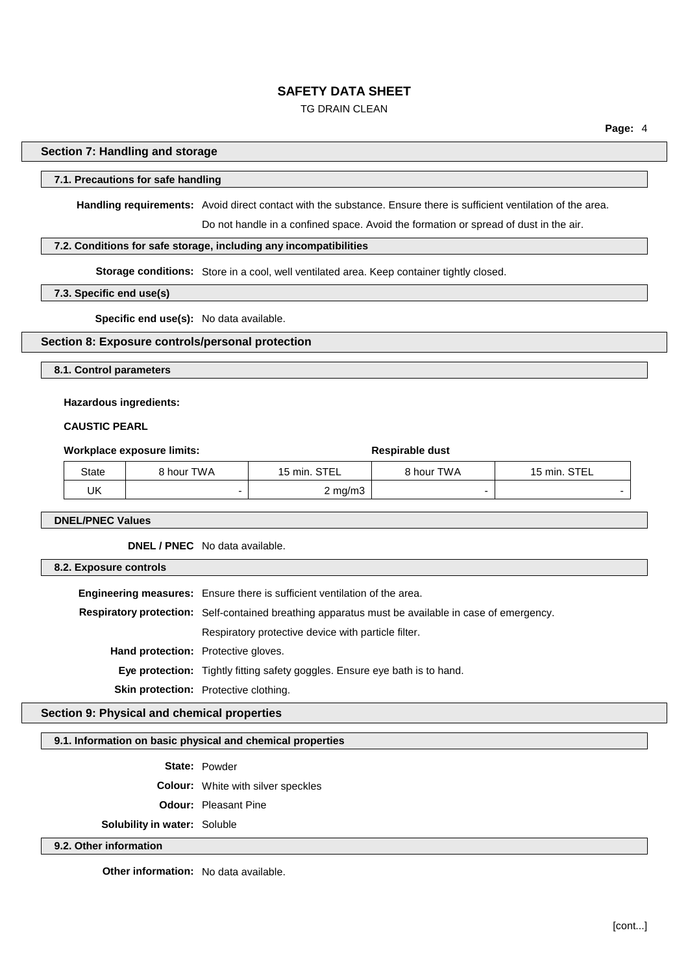# TG DRAIN CLEAN

### **Section 7: Handling and storage**

### **7.1. Precautions for safe handling**

**Handling requirements:** Avoid direct contact with the substance. Ensure there is sufficient ventilation of the area.

Do not handle in a confined space. Avoid the formation or spread of dust in the air.

### **7.2. Conditions for safe storage, including any incompatibilities**

**Storage conditions:** Store in a cool, well ventilated area. Keep container tightly closed.

# **7.3. Specific end use(s)**

**Specific end use(s):** No data available.

# **Section 8: Exposure controls/personal protection**

**8.1. Control parameters**

#### **Hazardous ingredients:**

# **CAUSTIC PEARL**

#### **Workplace** exposure limits: **Respirable** dust

| State | 8 hour TWA | 15 min. STEL     | 8 hour TWA | 15 min. STEL |
|-------|------------|------------------|------------|--------------|
| UΚ    |            | $2 \text{ mg/m}$ |            |              |

**DNEL/PNEC Values**

**DNEL / PNEC** No data available.

**8.2. Exposure controls**

**Engineering measures:** Ensure there is sufficient ventilation of the area. **Respiratory protection:** Self-contained breathing apparatus must be available in case of emergency. Respiratory protective device with particle filter. **Hand protection:** Protective gloves. **Eye protection:** Tightly fitting safety goggles. Ensure eye bath is to hand. **Skin protection:** Protective clothing.

# **Section 9: Physical and chemical properties**

#### **9.1. Information on basic physical and chemical properties**

**State:** Powder

**Colour:** White with silver speckles

**Odour:** Pleasant Pine

**Solubility in water:** Soluble

#### **9.2. Other information**

**Other information:** No data available.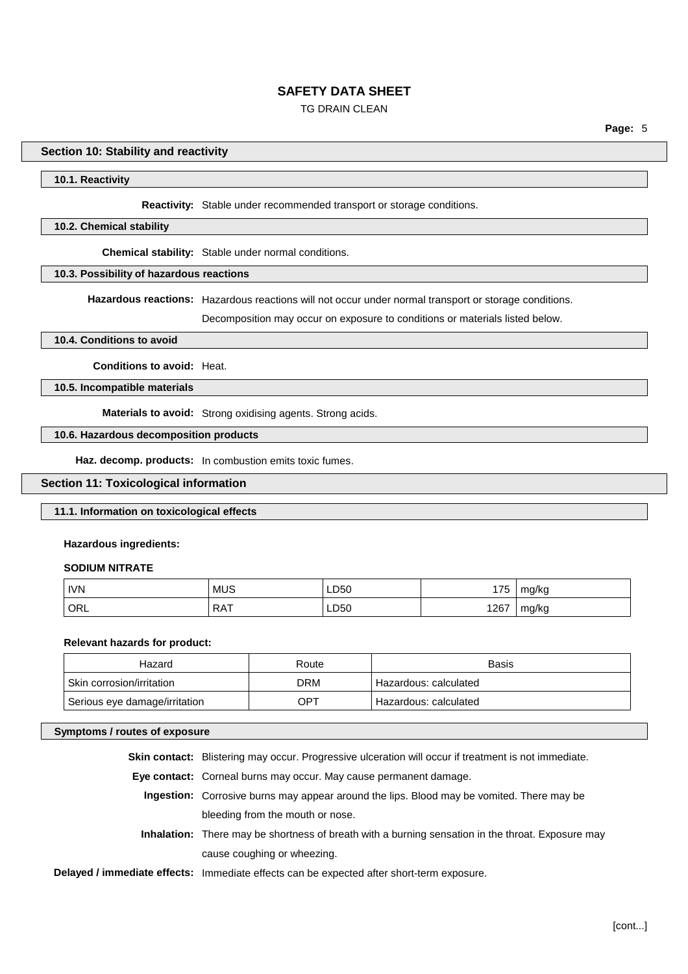# TG DRAIN CLEAN

### **Section 10: Stability and reactivity**

#### **10.1. Reactivity**

#### **Reactivity:** Stable under recommended transport or storage conditions.

#### **10.2. Chemical stability**

**Chemical stability:** Stable under normal conditions.

#### **10.3. Possibility of hazardous reactions**

**Hazardous reactions:** Hazardous reactions will not occur under normal transport or storage conditions.

Decomposition may occur on exposure to conditions or materials listed below.

#### **10.4. Conditions to avoid**

**Conditions to avoid:** Heat.

**10.5. Incompatible materials**

**Materials to avoid:** Strong oxidising agents. Strong acids.

## **10.6. Hazardous decomposition products**

**Haz. decomp. products:** In combustion emits toxic fumes.

### **Section 11: Toxicological information**

### **11.1. Information on toxicological effects**

#### **Hazardous ingredients:**

### **SODIUM NITRATE**

| <b>IVN</b> | <b>MUS</b> | LD50 | 175  | mg/kg |
|------------|------------|------|------|-------|
| ORL        | <b>RAT</b> | LD50 | 1267 | mg/kg |

#### **Relevant hazards for product:**

| Hazard                        | Route | Basis                 |
|-------------------------------|-------|-----------------------|
| Skin corrosion/irritation     | DRM   | Hazardous: calculated |
| Serious eye damage/irritation | OPT   | Hazardous: calculated |

#### **Symptoms / routes of exposure**

**Skin contact:** Blistering may occur. Progressive ulceration will occur if treatment is not immediate.

**Eye contact:** Corneal burns may occur. May cause permanent damage.

- **Ingestion:** Corrosive burns may appear around the lips. Blood may be vomited. There may be bleeding from the mouth or nose.
- **Inhalation:** There may be shortness of breath with a burning sensation in the throat. Exposure may cause coughing or wheezing.
- **Delayed / immediate effects:** Immediate effects can be expected after short-term exposure.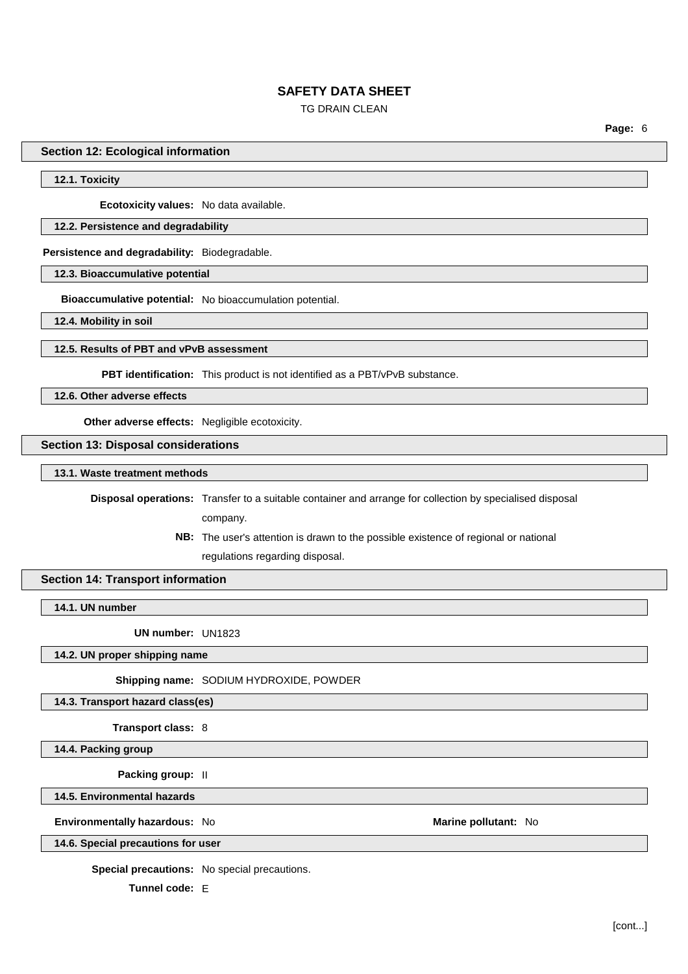# TG DRAIN CLEAN

**Page:** 6

### **Section 12: Ecological information**

## **12.1. Toxicity**

**Ecotoxicity values:** No data available.

### **12.2. Persistence and degradability**

**Persistence and degradability:** Biodegradable.

# **12.3. Bioaccumulative potential**

**Bioaccumulative potential:** No bioaccumulation potential.

**12.4. Mobility in soil**

# **12.5. Results of PBT and vPvB assessment**

**PBT identification:** This product is not identified as a PBT/vPvB substance.

**12.6. Other adverse effects**

**Other adverse effects:** Negligible ecotoxicity.

# **Section 13: Disposal considerations**

**13.1. Waste treatment methods**

**Disposal operations:** Transfer to a suitable container and arrange for collection by specialised disposal

company.

**NB:** The user's attention is drawn to the possible existence of regional or national regulations regarding disposal.

## **Section 14: Transport information**

**14.1. UN number**

**UN number:** UN1823

**14.2. UN proper shipping name**

**Shipping name:** SODIUM HYDROXIDE, POWDER

**14.3. Transport hazard class(es)**

**Transport class:** 8

**14.4. Packing group**

**Packing group:** II

**14.5. Environmental hazards**

**Environmentally hazardous:** No **Marine pollutant:** No

## **14.6. Special precautions for user**

**Special precautions:** No special precautions.

**Tunnel code:** E